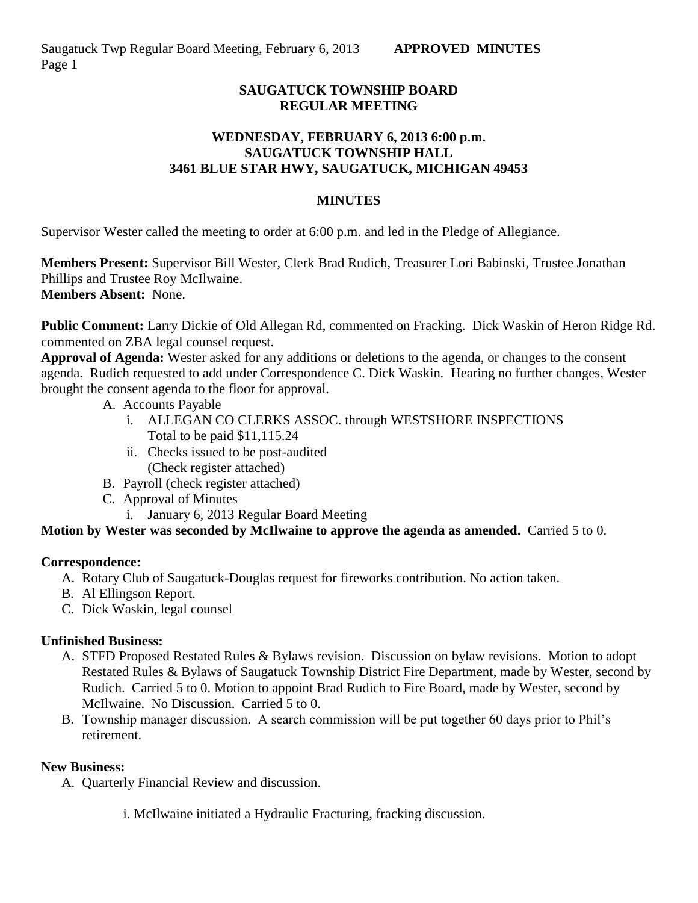# **SAUGATUCK TOWNSHIP BOARD REGULAR MEETING**

# **WEDNESDAY, FEBRUARY 6, 2013 6:00 p.m. SAUGATUCK TOWNSHIP HALL 3461 BLUE STAR HWY, SAUGATUCK, MICHIGAN 49453**

#### **MINUTES**

Supervisor Wester called the meeting to order at 6:00 p.m. and led in the Pledge of Allegiance.

**Members Present:** Supervisor Bill Wester, Clerk Brad Rudich, Treasurer Lori Babinski, Trustee Jonathan Phillips and Trustee Roy McIlwaine. **Members Absent:** None.

**Public Comment:** Larry Dickie of Old Allegan Rd, commented on Fracking. Dick Waskin of Heron Ridge Rd. commented on ZBA legal counsel request.

**Approval of Agenda:** Wester asked for any additions or deletions to the agenda, or changes to the consent agenda. Rudich requested to add under Correspondence C. Dick Waskin*.* Hearing no further changes, Wester brought the consent agenda to the floor for approval.

- A. Accounts Payable
	- i. ALLEGAN CO CLERKS ASSOC. through WESTSHORE INSPECTIONS Total to be paid \$11,115.24
	- ii. Checks issued to be post-audited (Check register attached)
- B. Payroll (check register attached)
- C. Approval of Minutes
	- i. January 6, 2013 Regular Board Meeting

# **Motion by Wester was seconded by McIlwaine to approve the agenda as amended.** Carried 5 to 0.

# **Correspondence:**

- A. Rotary Club of Saugatuck-Douglas request for fireworks contribution. No action taken.
- B. Al Ellingson Report.
- C. Dick Waskin, legal counsel

# **Unfinished Business:**

- A. STFD Proposed Restated Rules & Bylaws revision. Discussion on bylaw revisions. Motion to adopt Restated Rules & Bylaws of Saugatuck Township District Fire Department, made by Wester, second by Rudich. Carried 5 to 0. Motion to appoint Brad Rudich to Fire Board, made by Wester, second by McIlwaine. No Discussion. Carried 5 to 0.
- B. Township manager discussion. A search commission will be put together 60 days prior to Phil's retirement.

# **New Business:**

- A. Quarterly Financial Review and discussion.
	- i. McIlwaine initiated a Hydraulic Fracturing, fracking discussion.